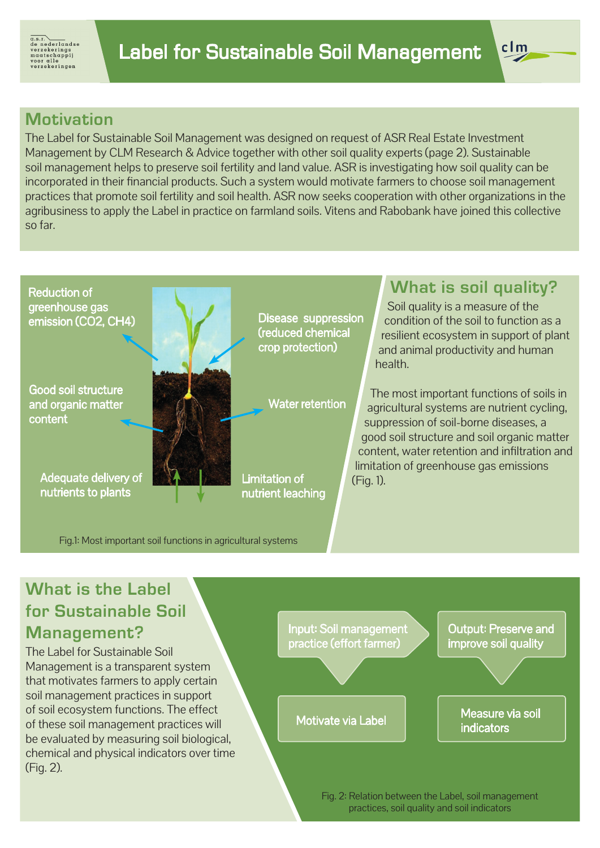

#### **Motivation**

The Label for Sustainable Soil Management was designed on request of ASR Real Estate Investment Management by CLM Research & Advice together with other soil quality experts (page 2). Sustainable soil management helps to preserve soil fertility and land value. ASR is investigating how soil quality can be incorporated in their financial products. Such a system would motivate farmers to choose soil management practices that promote soil fertility and soil health. ASR now seeks cooperation with other organizations in the agribusiness to apply the Label in practice on farmland soils. Vitens and Rabobank have joined this collective so far.



Good soil structure and organic matter content



Adequate delivery of nutrients to plants

(reduced chemical crop protection)

Water retention

Limitation of nutrient leaching

## **What is soil quality?**

 $clm$ 

Soil quality is a measure of the condition of the soil to function as a resilient ecosystem in support of plant and animal productivity and human health.

The most important functions of soils in agricultural systems are nutrient cycling, suppression of soil-borne diseases, a good soil structure and soil organic matter content, water retention and infiltration and limitation of greenhouse gas emissions (Fig. 1).

Fig.1: Most important soil functions in agricultural systems

### **What is the Label for Sustainable Soil Management?**

The Label for Sustainable Soil Management is a transparent system that motivates farmers to apply certain soil management practices in support of soil ecosystem functions. The effect of these soil management practices will be evaluated by measuring soil biological, chemical and physical indicators over time (Fig. 2).



Fig. 2: Relation between the Label, soil management practices, soil quality and soil indicators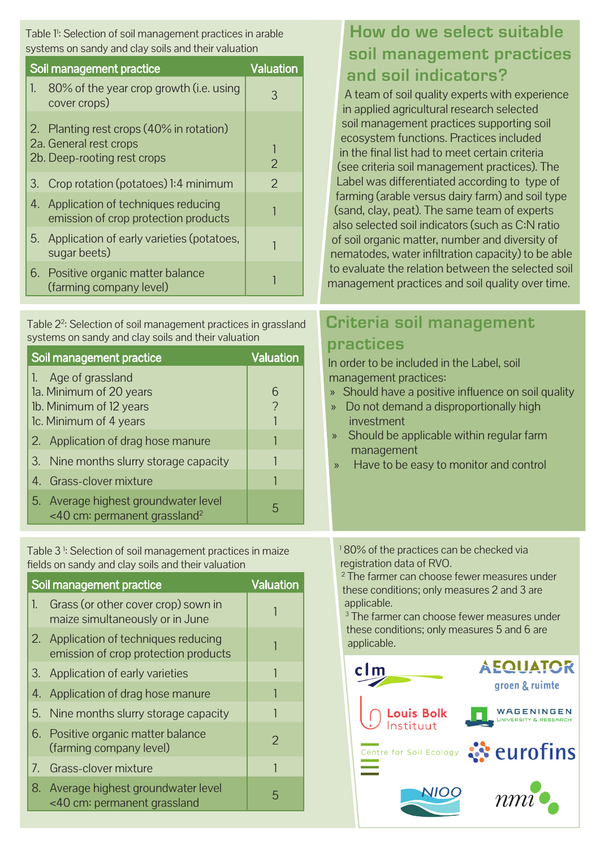Table 1<sup>1</sup>: Selection of soil management practices in arable systems on sandy and clay soils and their valuation

| Soil management practice | <b>Valuation</b>                                                                                  |               |
|--------------------------|---------------------------------------------------------------------------------------------------|---------------|
| 1.                       | 80% of the year crop growth (i.e. using<br>cover crops)                                           | 3             |
|                          | 2. Planting rest crops (40% in rotation)<br>2a. General rest crops<br>2b. Deep-rooting rest crops |               |
|                          | 3. Crop rotation (potatoes) 1:4 minimum                                                           | $\mathcal{P}$ |
|                          | 4. Application of techniques reducing<br>emission of crop protection products                     |               |
|                          | 5. Application of early varieties (potatoes,<br>sugar beets)                                      |               |
|                          | 6. Positive organic matter balance<br>(farming company level)                                     |               |

Table 2<sup>2</sup>: Selection of soil management practices in grassland systems on sandy and clay soils and their valuation

| Soil management practice                                                                                           | <b>Valuation</b> |
|--------------------------------------------------------------------------------------------------------------------|------------------|
| Age of grassland<br>1 <sub>1</sub><br>1a. Minimum of 20 years<br>1b. Minimum of 12 years<br>1c. Minimum of 4 years |                  |
| 2. Application of drag hose manure                                                                                 |                  |
| 3. Nine months slurry storage capacity                                                                             |                  |
| 4. Grass-clover mixture                                                                                            |                  |
| 5. Average highest groundwater level<br>$<$ 40 cm: permanent grassland <sup>2</sup>                                |                  |

Table 3 1 : Selection of soil management practices in maize fields on sandy and clay soils and their valuation

| Soil management practice | <b>Valuation</b>                                                              |   |
|--------------------------|-------------------------------------------------------------------------------|---|
| $\mathbb{1}$ .           | Grass (or other cover crop) sown in<br>maize simultaneously or in June        |   |
|                          | 2. Application of techniques reducing<br>emission of crop protection products |   |
|                          | 3. Application of early varieties                                             |   |
|                          | 4. Application of drag hose manure                                            |   |
|                          | 5. Nine months slurry storage capacity                                        |   |
|                          | 6. Positive organic matter balance<br>(farming company level)                 | 2 |
|                          | 7. Grass-clover mixture                                                       |   |
|                          | 8. Average highest groundwater level<br><40 cm: permanent grassland           | 5 |

# **How do we select suitable soil management practices and soil indicators?**

A team of soil quality experts with experience in applied agricultural research selected soil management practices supporting soil ecosystem functions. Practices included in the final list had to meet certain criteria (see criteria soil management practices). The Label was differentiated according to type of farming (arable versus dairy farm) and soil type (sand, clay, peat). The same team of experts also selected soil indicators (such as C:N ratio of soil organic matter, number and diversity of nematodes, water infiltration capacity) to be able to evaluate the relation between the selected soil management practices and soil quality over time.

# **Criteria soil management practices**

In order to be included in the Label, soil management practices:

- » Should have a positive influence on soil quality
- » Do not demand a disproportionally high investment
- » Should be applicable within regular farm management
	- » Have to be easy to monitor and control

1 80% of the practices can be checked via registration data of RVO.

2 The farmer can choose fewer measures under these conditions; only measures 2 and 3 are applicable.

3 The farmer can choose fewer measures under these conditions; only measures 5 and 6 are applicable.